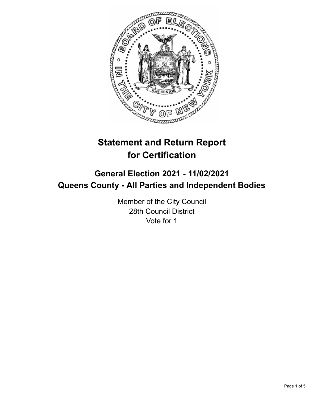

# **Statement and Return Report for Certification**

## **General Election 2021 - 11/02/2021 Queens County - All Parties and Independent Bodies**

Member of the City Council 28th Council District Vote for 1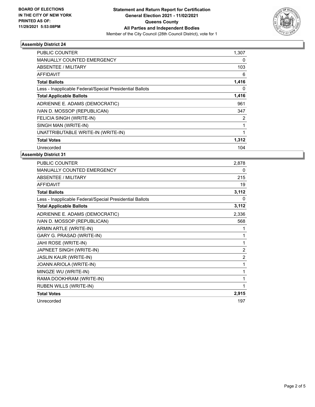

### **Assembly District 24**

| <b>PUBLIC COUNTER</b>                                    | 1,307 |
|----------------------------------------------------------|-------|
| <b>MANUALLY COUNTED EMERGENCY</b>                        | 0     |
| ABSENTEE / MILITARY                                      | 103   |
| <b>AFFIDAVIT</b>                                         | 6     |
| <b>Total Ballots</b>                                     | 1,416 |
| Less - Inapplicable Federal/Special Presidential Ballots | 0     |
| <b>Total Applicable Ballots</b>                          | 1,416 |
| ADRIENNE E. ADAMS (DEMOCRATIC)                           | 961   |
| IVAN D. MOSSOP (REPUBLICAN)                              | 347   |
| FELICIA SINGH (WRITE-IN)                                 | 2     |
| SINGH MAN (WRITE-IN)                                     |       |
| UNATTRIBUTABLE WRITE-IN (WRITE-IN)                       |       |
| <b>Total Votes</b>                                       | 1,312 |
| Unrecorded                                               | 104   |

### **Assembly District 31**

| <b>PUBLIC COUNTER</b>                                    | 2,878          |
|----------------------------------------------------------|----------------|
| <b>MANUALLY COUNTED EMERGENCY</b>                        | $\mathbf{0}$   |
| <b>ABSENTEE / MILITARY</b>                               | 215            |
| <b>AFFIDAVIT</b>                                         | 19             |
| <b>Total Ballots</b>                                     | 3,112          |
| Less - Inapplicable Federal/Special Presidential Ballots | 0              |
| <b>Total Applicable Ballots</b>                          | 3,112          |
| ADRIENNE E. ADAMS (DEMOCRATIC)                           | 2,336          |
| IVAN D. MOSSOP (REPUBLICAN)                              | 568            |
| ARMIN ARTLE (WRITE-IN)                                   | 1              |
| GARY G. PRASAD (WRITE-IN)                                | 1              |
| JAHI ROSE (WRITE-IN)                                     | 1              |
| JAPNEET SINGH (WRITE-IN)                                 | $\overline{2}$ |
| <b>JASLIN KAUR (WRITE-IN)</b>                            | $\overline{2}$ |
| JOANN ARIOLA (WRITE-IN)                                  | 1              |
| MINGZE WU (WRITE-IN)                                     | 1              |
| RAMA DOOKHRAM (WRITE-IN)                                 | 1              |
| RUBEN WILLS (WRITE-IN)                                   | 1              |
| <b>Total Votes</b>                                       | 2,915          |
| Unrecorded                                               | 197            |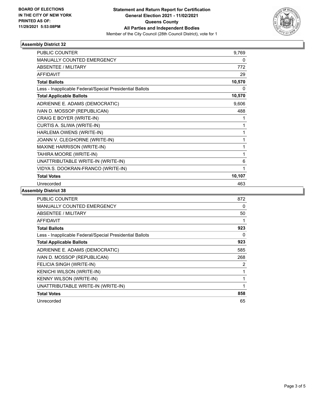

### **Assembly District 32**

| <b>PUBLIC COUNTER</b>                                    | 9,769  |
|----------------------------------------------------------|--------|
| <b>MANUALLY COUNTED EMERGENCY</b>                        | 0      |
| <b>ABSENTEE / MILITARY</b>                               | 772    |
| <b>AFFIDAVIT</b>                                         | 29     |
| <b>Total Ballots</b>                                     | 10,570 |
| Less - Inapplicable Federal/Special Presidential Ballots | 0      |
| <b>Total Applicable Ballots</b>                          | 10,570 |
| ADRIENNE E. ADAMS (DEMOCRATIC)                           | 9,606  |
| IVAN D. MOSSOP (REPUBLICAN)                              | 488    |
| CRAIG E BOYER (WRITE-IN)                                 | 1      |
| CURTIS A. SLIWA (WRITE-IN)                               | 1      |
| HARLEMA OWENS (WRITE-IN)                                 | 1      |
| JOANN V. CLEGHORNE (WRITE-IN)                            | 1      |
| <b>MAXINE HARRISON (WRITE-IN)</b>                        | 1      |
| TAHIRA MOORE (WRITE-IN)                                  | 1      |
| UNATTRIBUTABLE WRITE-IN (WRITE-IN)                       | 6      |
| VIDYA S. DOOKRAN-FRANCO (WRITE-IN)                       | 1      |
| <b>Total Votes</b>                                       | 10,107 |
| Unrecorded                                               | 463    |

### **Assembly District 38**

| <b>PUBLIC COUNTER</b>                                    | 872 |
|----------------------------------------------------------|-----|
| <b>MANUALLY COUNTED EMERGENCY</b>                        | 0   |
| <b>ABSENTEE / MILITARY</b>                               | 50  |
| <b>AFFIDAVIT</b>                                         |     |
| <b>Total Ballots</b>                                     | 923 |
| Less - Inapplicable Federal/Special Presidential Ballots | 0   |
| <b>Total Applicable Ballots</b>                          | 923 |
| ADRIENNE E. ADAMS (DEMOCRATIC)                           | 585 |
| IVAN D. MOSSOP (REPUBLICAN)                              | 268 |
| FELICIA SINGH (WRITE-IN)                                 | 2   |
| KENICHI WILSON (WRITE-IN)                                |     |
| KENNY WILSON (WRITE-IN)                                  | 1   |
| UNATTRIBUTABLE WRITE-IN (WRITE-IN)                       | 1   |
| <b>Total Votes</b>                                       | 858 |
| Unrecorded                                               | 65  |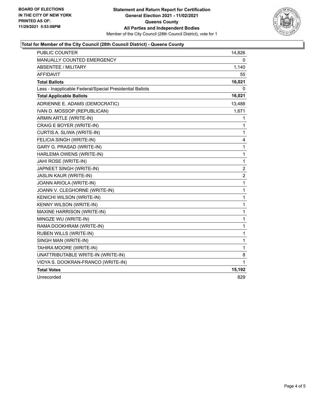

### **Total for Member of the City Council (28th Council District) - Queens County**

| PUBLIC COUNTER                                           | 14,826       |
|----------------------------------------------------------|--------------|
| MANUALLY COUNTED EMERGENCY                               | 0            |
| <b>ABSENTEE / MILITARY</b>                               | 1,140        |
| <b>AFFIDAVIT</b>                                         | 55           |
| <b>Total Ballots</b>                                     | 16,021       |
| Less - Inapplicable Federal/Special Presidential Ballots | 0            |
| <b>Total Applicable Ballots</b>                          | 16,021       |
| ADRIENNE E. ADAMS (DEMOCRATIC)                           | 13,488       |
| IVAN D. MOSSOP (REPUBLICAN)                              | 1,671        |
| ARMIN ARTLE (WRITE-IN)                                   | 1            |
| CRAIG E BOYER (WRITE-IN)                                 | 1            |
| CURTIS A. SLIWA (WRITE-IN)                               | 1            |
| FELICIA SINGH (WRITE-IN)                                 | 4            |
| GARY G. PRASAD (WRITE-IN)                                | 1            |
| HARLEMA OWENS (WRITE-IN)                                 | 1            |
| JAHI ROSE (WRITE-IN)                                     | $\mathbf{1}$ |
| JAPNEET SINGH (WRITE-IN)                                 | 2            |
| JASLIN KAUR (WRITE-IN)                                   | 2            |
| JOANN ARIOLA (WRITE-IN)                                  | 1            |
| JOANN V. CLEGHORNE (WRITE-IN)                            | 1            |
| KENICHI WILSON (WRITE-IN)                                | 1            |
| KENNY WILSON (WRITE-IN)                                  | 1            |
| MAXINE HARRISON (WRITE-IN)                               | 1            |
| MINGZE WU (WRITE-IN)                                     | 1            |
| RAMA DOOKHRAM (WRITE-IN)                                 | 1            |
| RUBEN WILLS (WRITE-IN)                                   | 1            |
| SINGH MAN (WRITE-IN)                                     | $\mathbf{1}$ |
| TAHIRA MOORE (WRITE-IN)                                  | 1            |
| UNATTRIBUTABLE WRITE-IN (WRITE-IN)                       | 8            |
| VIDYA S. DOOKRAN-FRANCO (WRITE-IN)                       | 1            |
| <b>Total Votes</b>                                       | 15,192       |
| Unrecorded                                               | 829          |